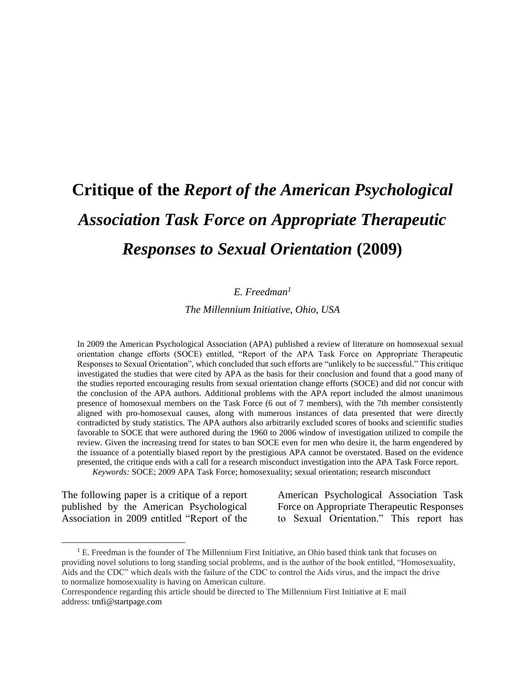# **Critique of the** *Report of the American Psychological Association Task Force on Appropriate Therapeutic Responses to Sexual Orientation* **(2009)**

## *E. Freedman<sup>1</sup>*

*The Millennium Initiative, Ohio, USA*

In 2009 the American Psychological Association (APA) published a review of literature on homosexual sexual orientation change efforts (SOCE) entitled, "Report of the APA Task Force on Appropriate Therapeutic Responses to Sexual Orientation", which concluded that such efforts are "unlikely to be successful." This critique investigated the studies that were cited by APA as the basis for their conclusion and found that a good many of the studies reported encouraging results from sexual orientation change efforts (SOCE) and did not concur with the conclusion of the APA authors. Additional problems with the APA report included the almost unanimous presence of homosexual members on the Task Force (6 out of 7 members), with the 7th member consistently aligned with pro-homosexual causes, along with numerous instances of data presented that were directly contradicted by study statistics. The APA authors also arbitrarily excluded scores of books and scientific studies favorable to SOCE that were authored during the 1960 to 2006 window of investigation utilized to compile the review. Given the increasing trend for states to ban SOCE even for men who desire it, the harm engendered by the issuance of a potentially biased report by the prestigious APA cannot be overstated. Based on the evidence presented, the critique ends with a call for a research misconduct investigation into the APA Task Force report.

*Keywords:* SOCE; 2009 APA Task Force; homosexuality; sexual orientation; research misconduct

The following paper is a critique of a report published by the American Psychological Association in 2009 entitled "Report of the

 $\overline{a}$ 

American Psychological Association Task Force on Appropriate Therapeutic Responses to Sexual Orientation." This report has

 $<sup>1</sup>$  E. Freedman is the founder of The Millennium First Initiative, an Ohio based think tank that focuses on</sup> providing novel solutions to long standing social problems, and is the author of the book entitled, "Homosexuality, Aids and the CDC" which deals with the failure of the CDC to control the Aids virus, and the impact the drive to normalize homosexuality is having on American culture.

Correspondence regarding this article should be directed to The Millennium First Initiative at E mail address: [tmfi@startpage.com](mailto:tmfi@startpage.com)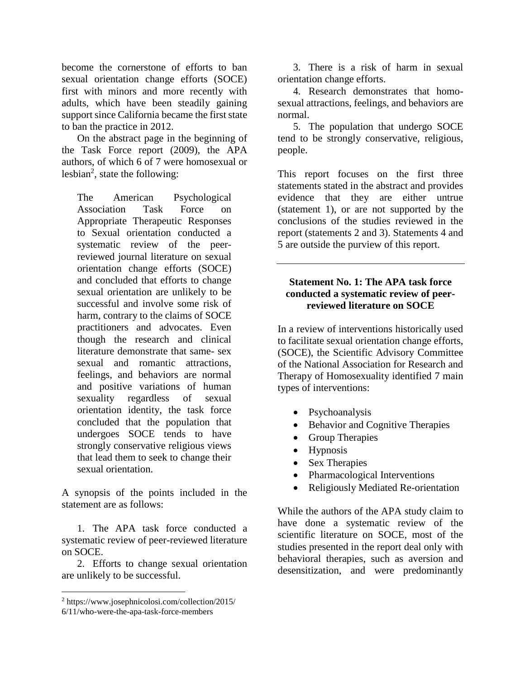become the cornerstone of efforts to ban sexual orientation change efforts (SOCE) first with minors and more recently with adults, which have been steadily gaining support since California became the first state to ban the practice in 2012.

On the abstract page in the beginning of the Task Force report (2009), the APA authors, of which 6 of 7 were homosexual or lesbian<sup>2</sup>, state the following:

The American Psychological Association Task Force on Appropriate Therapeutic Responses to Sexual orientation conducted a systematic review of the peerreviewed journal literature on sexual orientation change efforts (SOCE) and concluded that efforts to change sexual orientation are unlikely to be successful and involve some risk of harm, contrary to the claims of SOCE practitioners and advocates. Even though the research and clinical literature demonstrate that same- sex sexual and romantic attractions, feelings, and behaviors are normal and positive variations of human sexuality regardless of sexual orientation identity, the task force concluded that the population that undergoes SOCE tends to have strongly conservative religious views that lead them to seek to change their sexual orientation.

A synopsis of the points included in the statement are as follows:

1. The APA task force conducted a systematic review of peer-reviewed literature on SOCE.

2. Efforts to change sexual orientation are unlikely to be successful.

 $\overline{a}$ 

3. There is a risk of harm in sexual orientation change efforts.

4. Research demonstrates that homosexual attractions, feelings, and behaviors are normal.

5. The population that undergo SOCE tend to be strongly conservative, religious, people.

This report focuses on the first three statements stated in the abstract and provides evidence that they are either untrue (statement 1), or are not supported by the conclusions of the studies reviewed in the report (statements 2 and 3). Statements 4 and 5 are outside the purview of this report.

## **Statement No. 1: The APA task force conducted a systematic review of peerreviewed literature on SOCE**

In a review of interventions historically used to facilitate sexual orientation change efforts, (SOCE), the Scientific Advisory Committee of the National Association for Research and Therapy of Homosexuality identified 7 main types of interventions:

- Psychoanalysis
- Behavior and Cognitive Therapies
- Group Therapies
- Hypnosis
- Sex Therapies
- Pharmacological Interventions
- Religiously Mediated Re-orientation

While the authors of the APA study claim to have done a systematic review of the scientific literature on SOCE, most of the studies presented in the report deal only with behavioral therapies, such as aversion and desensitization, and were predominantly

<sup>2</sup> https://www.josephnicolosi.com/collection/2015/

<sup>6/11/</sup>who-were-the-apa-task-force-members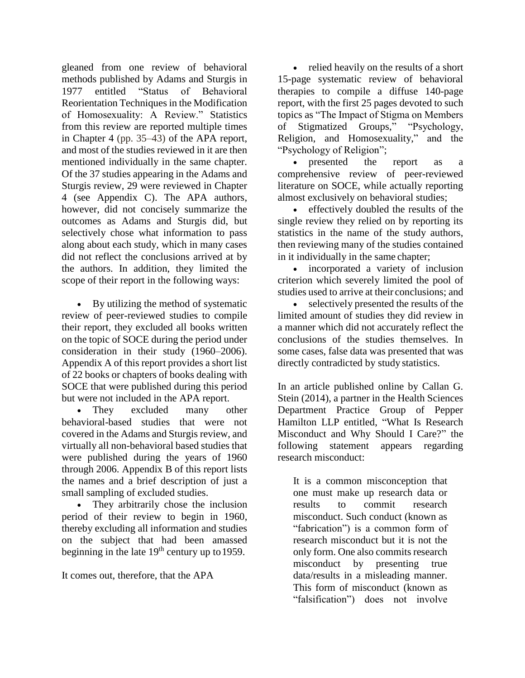gleaned from one review of behavioral methods published by Adams and Sturgis in 1977 entitled "Status of Behavioral Reorientation Techniques in the Modification of Homosexuality: A Review." Statistics from this review are reported multiple times in Chapter 4 (pp. 35–43) of the APA report, and most of the studies reviewed in it are then mentioned individually in the same chapter. Of the 37 studies appearing in the Adams and Sturgis review, 29 were reviewed in Chapter 4 (see Appendix C). The APA authors, however, did not concisely summarize the outcomes as Adams and Sturgis did, but selectively chose what information to pass along about each study, which in many cases did not reflect the conclusions arrived at by the authors. In addition, they limited the scope of their report in the following ways:

 By utilizing the method of systematic review of peer-reviewed studies to compile their report, they excluded all books written on the topic of SOCE during the period under consideration in their study (1960–2006). Appendix A of this report provides a short list of 22 books or chapters of books dealing with SOCE that were published during this period but were not included in the APA report.

• They excluded many other behavioral-based studies that were not covered in the Adams and Sturgis review, and virtually all non-behavioral based studies that were published during the years of 1960 through 2006. Appendix B of this report lists the names and a brief description of just a small sampling of excluded studies.

• They arbitrarily chose the inclusion period of their review to begin in 1960, thereby excluding all information and studies on the subject that had been amassed beginning in the late  $19<sup>th</sup>$  century up to 1959.

It comes out, therefore, that the APA

• relied heavily on the results of a short 15-page systematic review of behavioral therapies to compile a diffuse 140-page report, with the first 25 pages devoted to such topics as "The Impact of Stigma on Members of Stigmatized Groups," "Psychology, Religion, and Homosexuality," and the "Psychology of Religion";

• presented the report as a comprehensive review of peer-reviewed literature on SOCE, while actually reporting almost exclusively on behavioral studies;

 effectively doubled the results of the single review they relied on by reporting its statistics in the name of the study authors, then reviewing many of the studies contained in it individually in the same chapter;

 incorporated a variety of inclusion criterion which severely limited the pool of studies used to arrive at their conclusions; and

 selectively presented the results of the limited amount of studies they did review in a manner which did not accurately reflect the conclusions of the studies themselves. In some cases, false data was presented that was directly contradicted by study statistics.

In an article published online by Callan G. Stein (2014), a partner in the Health Sciences Department Practice Group of Pepper Hamilton LLP entitled, "What Is Research Misconduct and Why Should I Care?" the following statement appears regarding research misconduct:

It is a common misconception that one must make up research data or results to commit research misconduct. Such conduct (known as "fabrication") is a common form of research misconduct but it is not the only form. One also commits research misconduct by presenting true data/results in a misleading manner. This form of misconduct (known as "falsification") does not involve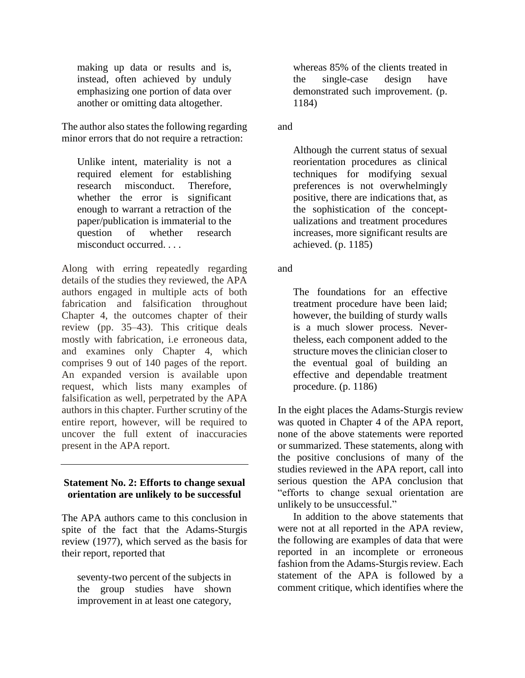making up data or results and is, instead, often achieved by unduly emphasizing one portion of data over another or omitting data altogether.

The author also states the following regarding minor errors that do not require a retraction:

Unlike intent, materiality is not a required element for establishing research misconduct. Therefore, whether the error is significant enough to warrant a retraction of the paper/publication is immaterial to the question of whether research misconduct occurred. . . .

Along with erring repeatedly regarding details of the studies they reviewed, the APA authors engaged in multiple acts of both fabrication and falsification throughout Chapter 4, the outcomes chapter of their review (pp. 35–43). This critique deals mostly with fabrication, i.e erroneous data, and examines only Chapter 4, which comprises 9 out of 140 pages of the report. An expanded version is available upon request, which lists many examples of falsification as well, perpetrated by the APA authors in this chapter. Further scrutiny of the entire report, however, will be required to uncover the full extent of inaccuracies present in the APA report.

## **Statement No. 2: Efforts to change sexual orientation are unlikely to be successful**

The APA authors came to this conclusion in spite of the fact that the Adams-Sturgis review (1977), which served as the basis for their report, reported that

seventy-two percent of the subjects in the group studies have shown improvement in at least one category,

whereas 85% of the clients treated in the single-case design have demonstrated such improvement. (p. 1184)

and

Although the current status of sexual reorientation procedures as clinical techniques for modifying sexual preferences is not overwhelmingly positive, there are indications that, as the sophistication of the conceptualizations and treatment procedures increases, more significant results are achieved. (p. 1185)

and

The foundations for an effective treatment procedure have been laid; however, the building of sturdy walls is a much slower process. Nevertheless, each component added to the structure moves the clinician closer to the eventual goal of building an effective and dependable treatment procedure. (p. 1186)

In the eight places the Adams-Sturgis review was quoted in Chapter 4 of the APA report, none of the above statements were reported or summarized. These statements, along with the positive conclusions of many of the studies reviewed in the APA report, call into serious question the APA conclusion that "efforts to change sexual orientation are unlikely to be unsuccessful."

In addition to the above statements that were not at all reported in the APA review, the following are examples of data that were reported in an incomplete or erroneous fashion from the Adams-Sturgis review. Each statement of the APA is followed by a comment critique, which identifies where the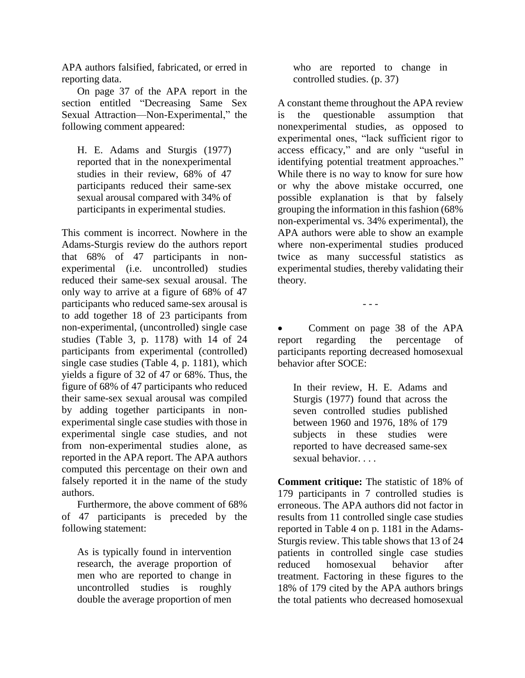APA authors falsified, fabricated, or erred in reporting data.

On page 37 of the APA report in the section entitled "Decreasing Same Sex Sexual Attraction—Non-Experimental," the following comment appeared:

H. E. Adams and Sturgis (1977) reported that in the nonexperimental studies in their review, 68% of 47 participants reduced their same-sex sexual arousal compared with 34% of participants in experimental studies.

This comment is incorrect. Nowhere in the Adams-Sturgis review do the authors report that 68% of 47 participants in nonexperimental (i.e. uncontrolled) studies reduced their same-sex sexual arousal. The only way to arrive at a figure of 68% of 47 participants who reduced same-sex arousal is to add together 18 of 23 participants from non-experimental, (uncontrolled) single case studies (Table 3, p. 1178) with 14 of 24 participants from experimental (controlled) single case studies (Table 4, p. 1181), which yields a figure of 32 of 47 or 68%. Thus, the figure of 68% of 47 participants who reduced their same-sex sexual arousal was compiled by adding together participants in nonexperimental single case studies with those in experimental single case studies, and not from non-experimental studies alone, as reported in the APA report. The APA authors computed this percentage on their own and falsely reported it in the name of the study authors.

Furthermore, the above comment of 68% of 47 participants is preceded by the following statement:

As is typically found in intervention research, the average proportion of men who are reported to change in uncontrolled studies is roughly double the average proportion of men

who are reported to change in controlled studies. (p. 37)

A constant theme throughout the APA review is the questionable assumption that nonexperimental studies, as opposed to experimental ones, "lack sufficient rigor to access efficacy," and are only "useful in identifying potential treatment approaches." While there is no way to know for sure how or why the above mistake occurred, one possible explanation is that by falsely grouping the information in this fashion (68% non-experimental vs. 34% experimental), the APA authors were able to show an example where non-experimental studies produced twice as many successful statistics as experimental studies, thereby validating their theory.

- - -

 Comment on page 38 of the APA report regarding the percentage of participants reporting decreased homosexual behavior after SOCE:

In their review, H. E. Adams and Sturgis (1977) found that across the seven controlled studies published between 1960 and 1976, 18% of 179 subjects in these studies were reported to have decreased same-sex sexual behavior. . . .

**Comment critique:** The statistic of 18% of 179 participants in 7 controlled studies is erroneous. The APA authors did not factor in results from 11 controlled single case studies reported in Table 4 on p. 1181 in the Adams-Sturgis review. This table shows that 13 of 24 patients in controlled single case studies reduced homosexual behavior after treatment. Factoring in these figures to the 18% of 179 cited by the APA authors brings the total patients who decreased homosexual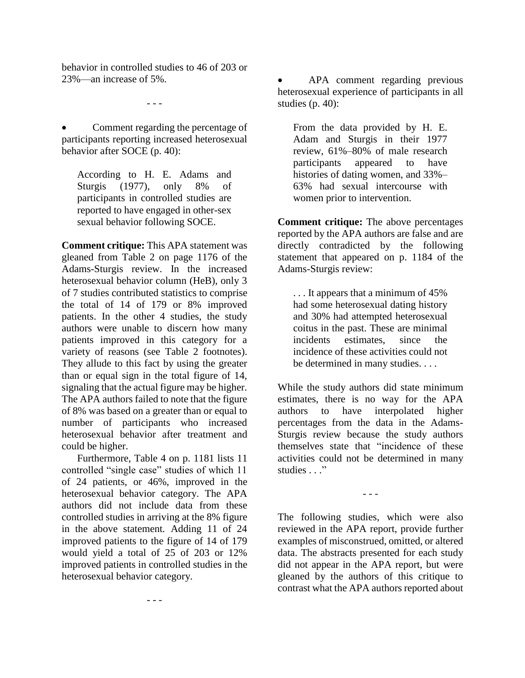behavior in controlled studies to 46 of 203 or 23%—an increase of 5%.

- - -

 Comment regarding the percentage of participants reporting increased heterosexual behavior after SOCE (p. 40):

According to H. E. Adams and Sturgis (1977), only 8% of participants in controlled studies are reported to have engaged in other-sex sexual behavior following SOCE.

**Comment critique:** This APA statement was gleaned from Table 2 on page 1176 of the Adams-Sturgis review. In the increased heterosexual behavior column (HeB), only 3 of 7 studies contributed statistics to comprise the total of 14 of 179 or 8% improved patients. In the other 4 studies, the study authors were unable to discern how many patients improved in this category for a variety of reasons (see Table 2 footnotes). They allude to this fact by using the greater than or equal sign in the total figure of 14, signaling that the actual figure may be higher. The APA authors failed to note that the figure of 8% was based on a greater than or equal to number of participants who increased heterosexual behavior after treatment and could be higher.

Furthermore, Table 4 on p. 1181 lists 11 controlled "single case" studies of which 11 of 24 patients, or 46%, improved in the heterosexual behavior category. The APA authors did not include data from these controlled studies in arriving at the 8% figure in the above statement*.* Adding 11 of 24 improved patients to the figure of 14 of 179 would yield a total of 25 of 203 or 12% improved patients in controlled studies in the heterosexual behavior category.

- - -

 APA comment regarding previous heterosexual experience of participants in all studies (p. 40):

From the data provided by H. E. Adam and Sturgis in their 1977 review, 61%–80% of male research participants appeared to have histories of dating women, and 33%– 63% had sexual intercourse with women prior to intervention.

**Comment critique:** The above percentages reported by the APA authors are false and are directly contradicted by the following statement that appeared on p. 1184 of the Adams-Sturgis review:

. . . It appears that a minimum of 45% had some heterosexual dating history and 30% had attempted heterosexual coitus in the past. These are minimal incidents estimates, since the incidence of these activities could not be determined in many studies. . . .

While the study authors did state minimum estimates, there is no way for the APA authors to have interpolated higher percentages from the data in the Adams-Sturgis review because the study authors themselves state that "incidence of these activities could not be determined in many studies . . ."

- - -

The following studies, which were also reviewed in the APA report, provide further examples of misconstrued, omitted, or altered data. The abstracts presented for each study did not appear in the APA report, but were gleaned by the authors of this critique to contrast what the APA authors reported about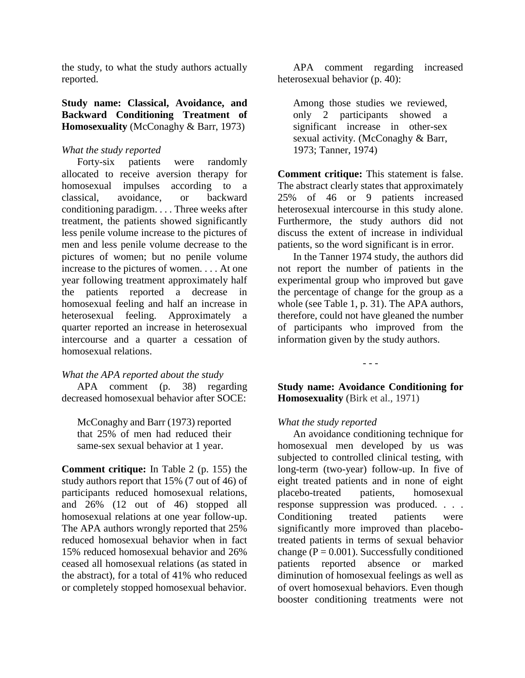the study, to what the study authors actually reported.

**Study name: Classical, Avoidance, and Backward Conditioning Treatment of Homosexuality** (McConaghy & Barr, 1973)

#### *What the study reported*

Forty-six patients were randomly allocated to receive aversion therapy for homosexual impulses according to a classical, avoidance, or backward conditioning paradigm. . . . Three weeks after treatment, the patients showed significantly less penile volume increase to the pictures of men and less penile volume decrease to the pictures of women; but no penile volume increase to the pictures of women. . . . At one year following treatment approximately half the patients reported a decrease in homosexual feeling and half an increase in heterosexual feeling. Approximately a quarter reported an increase in heterosexual intercourse and a quarter a cessation of homosexual relations.

#### *What the APA reported about the study*

APA comment (p. 38) regarding decreased homosexual behavior after SOCE:

McConaghy and Barr (1973) reported that 25% of men had reduced their same-sex sexual behavior at 1 year.

**Comment critique:** In Table 2 (p. 155) the study authors report that 15% (7 out of 46) of participants reduced homosexual relations, and 26% (12 out of 46) stopped all homosexual relations at one year follow-up. The APA authors wrongly reported that 25% reduced homosexual behavior when in fact 15% reduced homosexual behavior and 26% ceased all homosexual relations (as stated in the abstract), for a total of 41% who reduced or completely stopped homosexual behavior.

APA comment regarding increased heterosexual behavior (p. 40):

Among those studies we reviewed, only 2 participants showed a significant increase in other-sex sexual activity. (McConaghy & Barr, 1973; Tanner, 1974)

**Comment critique:** This statement is false. The abstract clearly states that approximately 25% of 46 or 9 patients increased heterosexual intercourse in this study alone. Furthermore, the study authors did not discuss the extent of increase in individual patients, so the word significant is in error.

In the Tanner 1974 study, the authors did not report the number of patients in the experimental group who improved but gave the percentage of change for the group as a whole (see Table 1, p. 31). The APA authors, therefore, could not have gleaned the number of participants who improved from the information given by the study authors.

**Study name: Avoidance Conditioning for Homosexuality** (Birk et al., 1971)

- - -

## *What the study reported*

An avoidance conditioning technique for homosexual men developed by us was subjected to controlled clinical testing, with long-term (two-year) follow-up. In five of eight treated patients and in none of eight placebo-treated patients, homosexual response suppression was produced. . . . Conditioning treated patients were significantly more improved than placebotreated patients in terms of sexual behavior change ( $P = 0.001$ ). Successfully conditioned patients reported absence or marked diminution of homosexual feelings as well as of overt homosexual behaviors. Even though booster conditioning treatments were not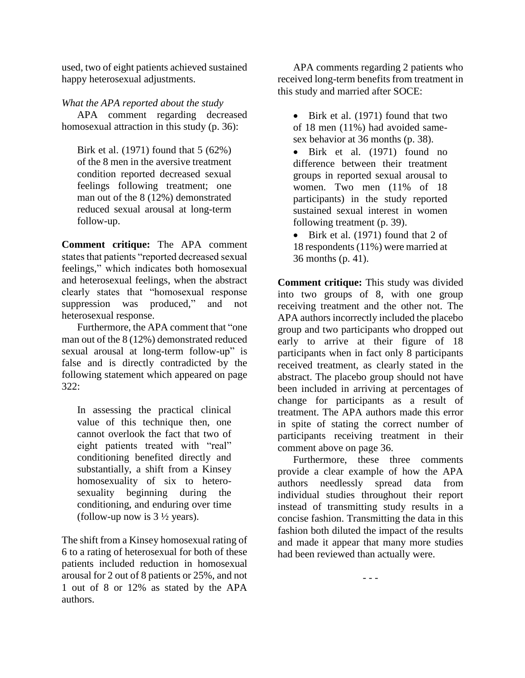used, two of eight patients achieved sustained happy heterosexual adjustments.

## *What the APA reported about the study*

APA comment regarding decreased homosexual attraction in this study (p. 36):

Birk et al. (1971) found that 5 (62%) of the 8 men in the aversive treatment condition reported decreased sexual feelings following treatment; one man out of the 8 (12%) demonstrated reduced sexual arousal at long-term follow-up.

**Comment critique:** The APA comment states that patients "reported decreased sexual feelings," which indicates both homosexual and heterosexual feelings, when the abstract clearly states that "homosexual response suppression was produced," and not heterosexual response.

Furthermore, the APA comment that "one man out of the 8 (12%) demonstrated reduced sexual arousal at long-term follow-up" is false and is directly contradicted by the following statement which appeared on page 322:

In assessing the practical clinical value of this technique then, one cannot overlook the fact that two of eight patients treated with "real" conditioning benefited directly and substantially, a shift from a Kinsey homosexuality of six to heterosexuality beginning during the conditioning, and enduring over time (follow-up now is  $3\frac{1}{2}$  years).

The shift from a Kinsey homosexual rating of 6 to a rating of heterosexual for both of these patients included reduction in homosexual arousal for 2 out of 8 patients or 25%, and not 1 out of 8 or 12% as stated by the APA authors.

APA comments regarding 2 patients who received long-term benefits from treatment in this study and married after SOCE:

• Birk et al. (1971) found that two of 18 men (11%) had avoided samesex behavior at 36 months (p. 38).

• Birk et al. (1971) found no difference between their treatment groups in reported sexual arousal to women. Two men (11% of 18 participants) in the study reported sustained sexual interest in women following treatment (p. 39).

• Birk et al. (1971) found that 2 of 18 respondents (11%) were married at 36 months (p. 41).

**Comment critique:** This study was divided into two groups of 8, with one group receiving treatment and the other not. The APA authors incorrectly included the placebo group and two participants who dropped out early to arrive at their figure of 18 participants when in fact only  $\check{8}$  participants received treatment, as clearly stated in the abstract. The placebo group should not have been included in arriving at percentages of change for participants as a result of treatment. The APA authors made this error in spite of stating the correct number of participants receiving treatment in their comment above on page 36.

Furthermore, these three comments provide a clear example of how the APA authors needlessly spread data from individual studies throughout their report instead of transmitting study results in a concise fashion. Transmitting the data in this fashion both diluted the impact of the results and made it appear that many more studies had been reviewed than actually were.

- - -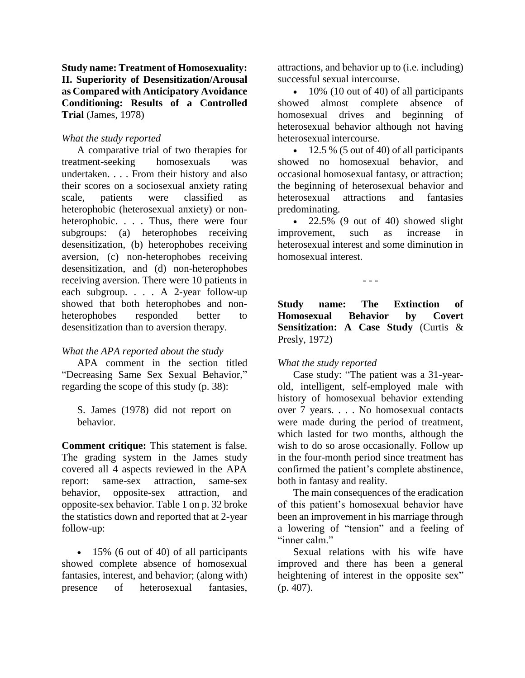**Study name: Treatment of Homosexuality: II. Superiority of Desensitization/Arousal as Compared with Anticipatory Avoidance Conditioning: Results of a Controlled Trial** (James, 1978)

#### *What the study reported*

A comparative trial of two therapies for treatment-seeking homosexuals was undertaken. . . . From their history and also their scores on a sociosexual anxiety rating scale, patients were classified as heterophobic (heterosexual anxiety) or nonheterophobic. . . . Thus, there were four subgroups: (a) heterophobes receiving desensitization, (b) heterophobes receiving aversion, (c) non-heterophobes receiving desensitization, and (d) non-heterophobes receiving aversion. There were 10 patients in each subgroup. . . . A 2-year follow-up showed that both heterophobes and nonheterophobes responded better to desensitization than to aversion therapy.

#### *What the APA reported about the study*

APA comment in the section titled "Decreasing Same Sex Sexual Behavior," regarding the scope of this study (p. 38):

S. James (1978) did not report on behavior.

**Comment critique:** This statement is false. The grading system in the James study covered all 4 aspects reviewed in the APA report: same-sex attraction, same-sex behavior, opposite-sex attraction, and opposite-sex behavior. Table 1 on p. 32 broke the statistics down and reported that at 2-year follow-up:

• 15% (6 out of 40) of all participants showed complete absence of homosexual fantasies, interest, and behavior; (along with) presence of heterosexual fantasies,

attractions, and behavior up to (i.e. including) successful sexual intercourse.

 $\bullet$  10% (10 out of 40) of all participants showed almost complete absence of homosexual drives and beginning of heterosexual behavior although not having heterosexual intercourse.

 $\cdot$  12.5 % (5 out of 40) of all participants showed no homosexual behavior, and occasional homosexual fantasy, or attraction; the beginning of heterosexual behavior and heterosexual attractions and fantasies predominating.

 22.5% (9 out of 40) showed slight improvement, such as increase in heterosexual interest and some diminution in homosexual interest.

- - -

**Study name: The Extinction of Homosexual Behavior by Covert Sensitization: A Case Study** (Curtis & Presly, 1972)

#### *What the study reported*

Case study: "The patient was a 31-yearold, intelligent, self-employed male with history of homosexual behavior extending over 7 years. . . . No homosexual contacts were made during the period of treatment, which lasted for two months, although the wish to do so arose occasionally. Follow up in the four-month period since treatment has confirmed the patient's complete abstinence, both in fantasy and reality.

The main consequences of the eradication of this patient's homosexual behavior have been an improvement in his marriage through a lowering of "tension" and a feeling of "inner calm."

Sexual relations with his wife have improved and there has been a general heightening of interest in the opposite sex" (p. 407).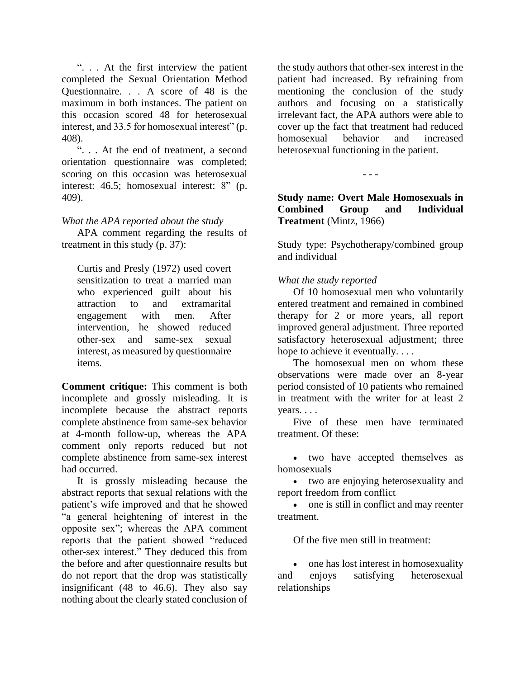". . . At the first interview the patient completed the Sexual Orientation Method Questionnaire. . . A score of 48 is the maximum in both instances. The patient on this occasion scored 48 for heterosexual interest, and 33.5 for homosexual interest" (p. 408).

". . . At the end of treatment, a second orientation questionnaire was completed; scoring on this occasion was heterosexual interest: 46.5; homosexual interest: 8" (p. 409).

## *What the APA reported about the study*

APA comment regarding the results of treatment in this study (p. 37):

Curtis and Presly (1972) used covert sensitization to treat a married man who experienced guilt about his attraction to and extramarital engagement with men. After intervention, he showed reduced other-sex and same-sex sexual interest, as measured by questionnaire items*.*

**Comment critique:** This comment is both incomplete and grossly misleading. It is incomplete because the abstract reports complete abstinence from same-sex behavior at 4-month follow-up, whereas the APA comment only reports reduced but not complete abstinence from same-sex interest had occurred.

It is grossly misleading because the abstract reports that sexual relations with the patient's wife improved and that he showed "a general heightening of interest in the opposite sex"; whereas the APA comment reports that the patient showed "reduced other-sex interest." They deduced this from the before and after questionnaire results but do not report that the drop was statistically insignificant (48 to 46.6). They also say nothing about the clearly stated conclusion of the study authors that other-sex interest in the patient had increased. By refraining from mentioning the conclusion of the study authors and focusing on a statistically irrelevant fact, the APA authors were able to cover up the fact that treatment had reduced homosexual behavior and increased heterosexual functioning in the patient.

- - -

**Study name: Overt Male Homosexuals in Combined Group and Individual Treatment** (Mintz, 1966)

Study type: Psychotherapy/combined group and individual

## *What the study reported*

Of 10 homosexual men who voluntarily entered treatment and remained in combined therapy for 2 or more years, all report improved general adjustment. Three reported satisfactory heterosexual adjustment; three hope to achieve it eventually....

The homosexual men on whom these observations were made over an 8-year period consisted of 10 patients who remained in treatment with the writer for at least 2 years. . . .

Five of these men have terminated treatment. Of these:

• two have accepted themselves as homosexuals

 two are enjoying heterosexuality and report freedom from conflict

• one is still in conflict and may reenter treatment.

Of the five men still in treatment:

• one has lost interest in homosexuality and enjoys satisfying heterosexual relationships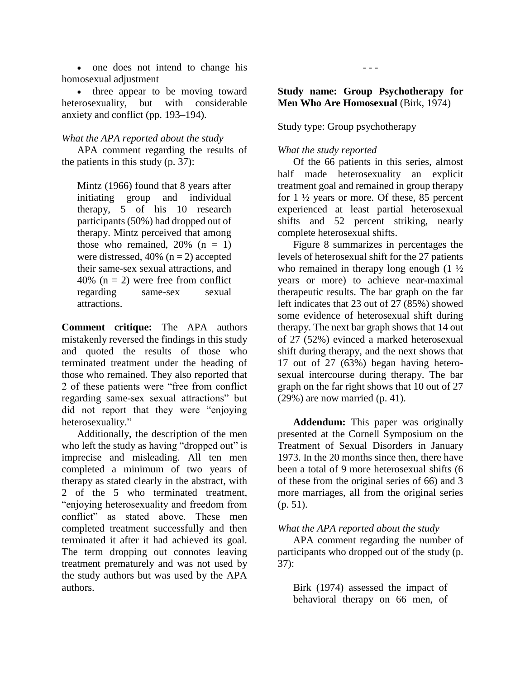• one does not intend to change his homosexual adjustment

• three appear to be moving toward heterosexuality, but with considerable anxiety and conflict (pp. 193–194).

## *What the APA reported about the study*

APA comment regarding the results of the patients in this study (p. 37):

Mintz (1966) found that 8 years after initiating group and individual therapy, 5 of his 10 research participants (50%) had dropped out of therapy. Mintz perceived that among those who remained,  $20\%$  (n = 1) were distressed,  $40\%$  (n = 2) accepted their same-sex sexual attractions, and 40% ( $n = 2$ ) were free from conflict regarding same-sex sexual attractions.

**Comment critique:** The APA authors mistakenly reversed the findings in this study and quoted the results of those who terminated treatment under the heading of those who remained. They also reported that 2 of these patients were "free from conflict regarding same-sex sexual attractions" but did not report that they were "enjoying heterosexuality."

Additionally, the description of the men who left the study as having "dropped out" is imprecise and misleading. All ten men completed a minimum of two years of therapy as stated clearly in the abstract, with 2 of the 5 who terminated treatment, "enjoying heterosexuality and freedom from conflict" as stated above. These men completed treatment successfully and then terminated it after it had achieved its goal. The term dropping out connotes leaving treatment prematurely and was not used by the study authors but was used by the APA authors.

# **Study name: Group Psychotherapy for Men Who Are Homosexual (Birk, 1974)**

- - -

Study type: Group psychotherapy

# *What the study reported*

Of the 66 patients in this series, almost half made heterosexuality an explicit treatment goal and remained in group therapy for 1 ½ years or more. Of these, 85 percent experienced at least partial heterosexual shifts and 52 percent striking, nearly complete heterosexual shifts.

Figure 8 summarizes in percentages the levels of heterosexual shift for the 27 patients who remained in therapy long enough  $(1 \frac{1}{2})$ years or more) to achieve near-maximal therapeutic results. The bar graph on the far left indicates that 23 out of 27 (85%) showed some evidence of heterosexual shift during therapy. The next bar graph shows that 14 out of 27 (52%) evinced a marked heterosexual shift during therapy, and the next shows that 17 out of 27 (63%) began having heterosexual intercourse during therapy. The bar graph on the far right shows that 10 out of 27  $(29%)$  are now married  $(p. 41)$ .

**Addendum:** This paper was originally presented at the Cornell Symposium on the Treatment of Sexual Disorders in January 1973. In the 20 months since then, there have been a total of 9 more heterosexual shifts (6 of these from the original series of 66) and 3 more marriages, all from the original series (p. 51).

## *What the APA reported about the study*

APA comment regarding the number of participants who dropped out of the study (p. 37):

Birk (1974) assessed the impact of behavioral therapy on 66 men, of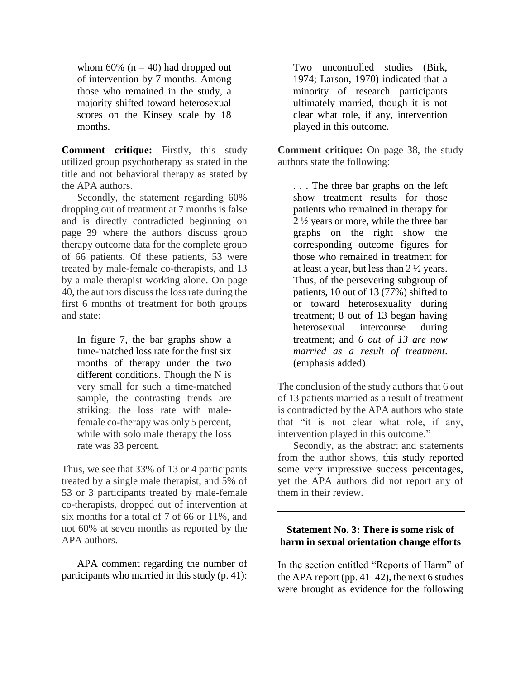whom 60% ( $n = 40$ ) had dropped out of intervention by 7 months. Among those who remained in the study, a majority shifted toward heterosexual scores on the Kinsey scale by 18 months.

**Comment critique:** Firstly, this study utilized group psychotherapy as stated in the title and not behavioral therapy as stated by the APA authors.

Secondly, the statement regarding 60% dropping out of treatment at 7 months is false and is directly contradicted beginning on page 39 where the authors discuss group therapy outcome data for the complete group of 66 patients. Of these patients, 53 were treated by male-female co-therapists, and 13 by a male therapist working alone. On page 40, the authors discuss the loss rate during the first 6 months of treatment for both groups and state:

In figure 7, the bar graphs show a time-matched loss rate for the first six months of therapy under the two different conditions. Though the N is very small for such a time-matched sample, the contrasting trends are striking: the loss rate with malefemale co-therapy was only 5 percent, while with solo male therapy the loss rate was 33 percent.

Thus, we see that 33% of 13 or 4 participants treated by a single male therapist, and 5% of 53 or 3 participants treated by male-female co-therapists, dropped out of intervention at six months for a total of 7 of 66 or 11%, and not 60% at seven months as reported by the APA authors.

APA comment regarding the number of participants who married in this study (p. 41):

Two uncontrolled studies (Birk, 1974; Larson, 1970) indicated that a minority of research participants ultimately married, though it is not clear what role, if any, intervention played in this outcome.

**Comment critique:** On page 38, the study authors state the following:

. . . The three bar graphs on the left show treatment results for those patients who remained in therapy for 2 ½ years or more, while the three bar graphs on the right show the corresponding outcome figures for those who remained in treatment for at least a year, but less than 2 ½ years. Thus, of the persevering subgroup of patients, 10 out of 13 (77%) shifted to or toward heterosexuality during treatment; 8 out of 13 began having heterosexual intercourse during treatment; and *6 out of 13 are now married as a result of treatment*. (emphasis added)

The conclusion of the study authors that 6 out of 13 patients married as a result of treatment is contradicted by the APA authors who state that "it is not clear what role, if any, intervention played in this outcome."

Secondly, as the abstract and statements from the author shows, this study reported some very impressive success percentages, yet the APA authors did not report any of them in their review.

## **Statement No. 3: There is some risk of harm in sexual orientation change efforts**

In the section entitled "Reports of Harm" of the APA report (pp.  $41-42$ ), the next 6 studies were brought as evidence for the following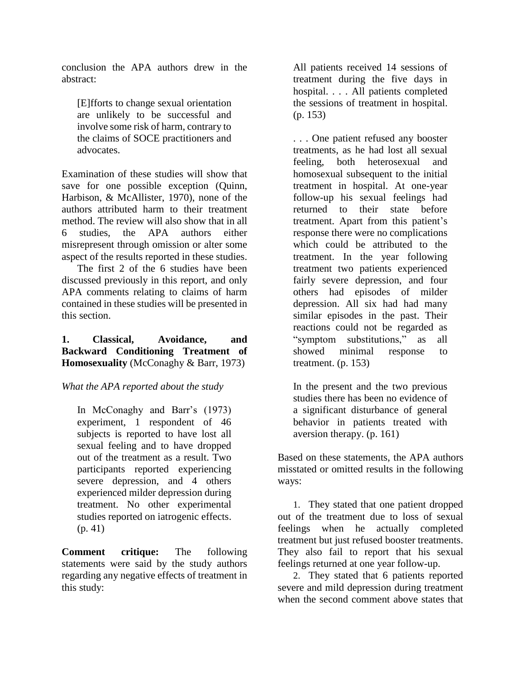conclusion the APA authors drew in the abstract:

[E]fforts to change sexual orientation are unlikely to be successful and involve some risk of harm, contrary to the claims of SOCE practitioners and advocates.

Examination of these studies will show that save for one possible exception (Quinn, Harbison, & McAllister, 1970), none of the authors attributed harm to their treatment method. The review will also show that in all 6 studies, the APA authors either misrepresent through omission or alter some aspect of the results reported in these studies.

The first 2 of the 6 studies have been discussed previously in this report, and only APA comments relating to claims of harm contained in these studies will be presented in this section.

## **1. Classical, Avoidance, and Backward Conditioning Treatment of Homosexuality** (McConaghy & Barr, 1973)

# *What the APA reported about the study*

In McConaghy and Barr's (1973) experiment, 1 respondent of 46 subjects is reported to have lost all sexual feeling and to have dropped out of the treatment as a result. Two participants reported experiencing severe depression, and 4 others experienced milder depression during treatment. No other experimental studies reported on iatrogenic effects. (p. 41)

**Comment critique:** The following statements were said by the study authors regarding any negative effects of treatment in this study:

All patients received 14 sessions of treatment during the five days in hospital. . . . All patients completed the sessions of treatment in hospital. (p. 153)

. . . One patient refused any booster treatments, as he had lost all sexual feeling, both heterosexual and homosexual subsequent to the initial treatment in hospital. At one-year follow-up his sexual feelings had returned to their state before treatment. Apart from this patient's response there were no complications which could be attributed to the treatment. In the year following treatment two patients experienced fairly severe depression, and four others had episodes of milder depression. All six had had many similar episodes in the past. Their reactions could not be regarded as "symptom substitutions," as all showed minimal response to treatment. (p. 153)

In the present and the two previous studies there has been no evidence of a significant disturbance of general behavior in patients treated with aversion therapy. (p. 161)

Based on these statements, the APA authors misstated or omitted results in the following ways:

1. They stated that one patient dropped out of the treatment due to loss of sexual feelings when he actually completed treatment but just refused booster treatments. They also fail to report that his sexual feelings returned at one year follow-up.

2. They stated that 6 patients reported severe and mild depression during treatment when the second comment above states that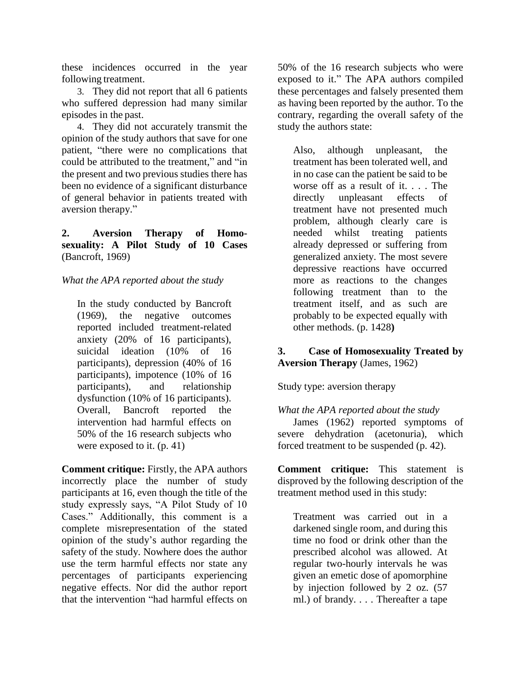these incidences occurred in the year following treatment.

3. They did not report that all 6 patients who suffered depression had many similar episodes in the past.

4. They did not accurately transmit the opinion of the study authors that save for one patient, "there were no complications that could be attributed to the treatment," and "in the present and two previous studies there has been no evidence of a significant disturbance of general behavior in patients treated with aversion therapy."

**2. Aversion Therapy of Homosexuality: A Pilot Study of 10 Cases** (Bancroft, 1969)

## *What the APA reported about the study*

In the study conducted by Bancroft (1969), the negative outcomes reported included treatment-related anxiety (20% of 16 participants), suicidal ideation (10% of 16 participants), depression (40% of 16 participants), impotence (10% of 16 participants), and relationship dysfunction (10% of 16 participants). Overall, Bancroft reported the intervention had harmful effects on 50% of the 16 research subjects who were exposed to it. (p. 41)

**Comment critique:** Firstly, the APA authors incorrectly place the number of study participants at 16, even though the title of the study expressly says, "A Pilot Study of 10 Cases." Additionally, this comment is a complete misrepresentation of the stated opinion of the study's author regarding the safety of the study. Nowhere does the author use the term harmful effects nor state any percentages of participants experiencing negative effects. Nor did the author report that the intervention "had harmful effects on

50% of the 16 research subjects who were exposed to it." The APA authors compiled these percentages and falsely presented them as having been reported by the author. To the contrary, regarding the overall safety of the study the authors state:

Also, although unpleasant, the treatment has been tolerated well, and in no case can the patient be said to be worse off as a result of it. . . . The directly unpleasant effects of treatment have not presented much problem, although clearly care is needed whilst treating patients already depressed or suffering from generalized anxiety. The most severe depressive reactions have occurred more as reactions to the changes following treatment than to the treatment itself, and as such are probably to be expected equally with other methods. (p. 1428**)**

# **3. Case of Homosexuality Treated by Aversion Therapy** (James, 1962)

Study type: aversion therapy

*What the APA reported about the study*

James (1962) reported symptoms of severe dehydration (acetonuria), which forced treatment to be suspended (p. 42).

**Comment critique:** This statement is disproved by the following description of the treatment method used in this study:

Treatment was carried out in a darkened single room, and during this time no food or drink other than the prescribed alcohol was allowed. At regular two-hourly intervals he was given an emetic dose of apomorphine by injection followed by 2 oz. (57 ml.) of brandy. . . . Thereafter a tape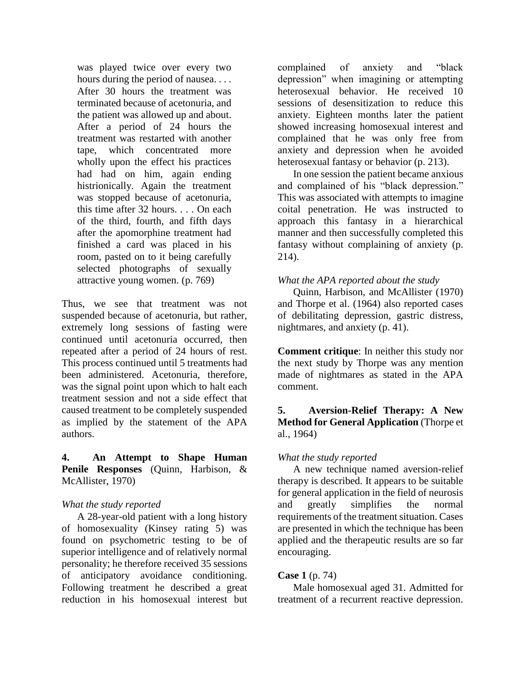was played twice over every two hours during the period of nausea. . . . After 30 hours the treatment was terminated because of acetonuria, and the patient was allowed up and about. After a period of 24 hours the treatment was restarted with another tape, which concentrated more wholly upon the effect his practices had had on him, again ending histrionically. Again the treatment was stopped because of acetonuria, this time after 32 hours. . . . On each of the third, fourth, and fifth days after the apomorphine treatment had finished a card was placed in his room, pasted on to it being carefully selected photographs of sexually attractive young women. (p. 769)

Thus, we see that treatment was not suspended because of acetonuria, but rather, extremely long sessions of fasting were continued until acetonuria occurred, then repeated after a period of 24 hours of rest. This process continued until 5 treatments had been administered. Acetonuria, therefore, was the signal point upon which to halt each treatment session and not a side effect that caused treatment to be completely suspended as implied by the statement of the APA authors.

#### **4. An Attempt to Shape Human Penile Responses** (Quinn, Harbison, & McAllister, 1970)

## *What the study reported*

A 28-year-old patient with a long history of homosexuality (Kinsey rating 5) was found on psychometric testing to be of superior intelligence and of relatively normal personality; he therefore received 35 sessions of anticipatory avoidance conditioning. Following treatment he described a great reduction in his homosexual interest but

complained of anxiety and "black depression" when imagining or attempting heterosexual behavior. He received 10 sessions of desensitization to reduce this anxiety. Eighteen months later the patient showed increasing homosexual interest and complained that he was only free from anxiety and depression when he avoided heterosexual fantasy or behavior (p. 213).

In one session the patient became anxious and complained of his "black depression." This was associated with attempts to imagine coital penetration. He was instructed to approach this fantasy in a hierarchical manner and then successfully completed this fantasy without complaining of anxiety (p. 214).

## *What the APA reported about the study*

Quinn, Harbison, and McAllister (1970) and Thorpe et al. (1964) also reported cases of debilitating depression, gastric distress, nightmares, and anxiety (p. 41).

**Comment critique**: In neither this study nor the next study by Thorpe was any mention made of nightmares as stated in the APA comment.

# **5. Aversion-Relief Therapy: A New Method for General Application** (Thorpe et al., 1964)

## *What the study reported*

A new technique named aversion-relief therapy is described. It appears to be suitable for general application in the field of neurosis and greatly simplifies the normal requirements of the treatment situation. Cases are presented in which the technique has been applied and the therapeutic results are so far encouraging.

# **Case 1** (p. 74)

Male homosexual aged 31. Admitted for treatment of a recurrent reactive depression.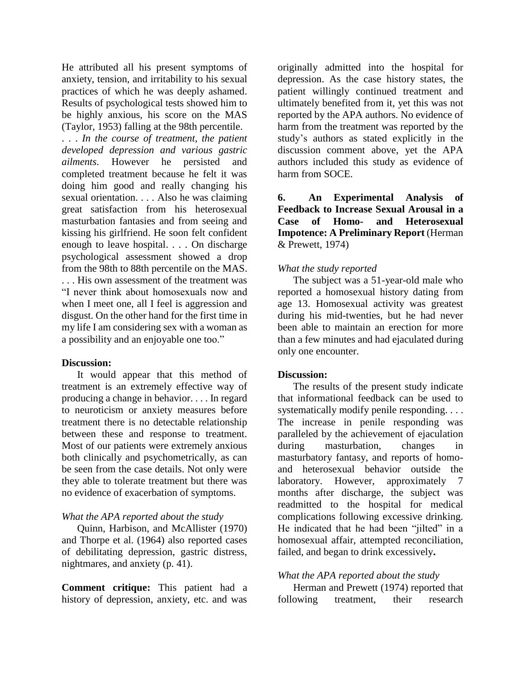He attributed all his present symptoms of anxiety, tension, and irritability to his sexual practices of which he was deeply ashamed. Results of psychological tests showed him to be highly anxious, his score on the MAS (Taylor, 1953) falling at the 98th percentile.

. . . *In the course of treatment, the patient developed depression and various gastric ailments*. However he persisted and completed treatment because he felt it was doing him good and really changing his sexual orientation. . . . Also he was claiming great satisfaction from his heterosexual masturbation fantasies and from seeing and kissing his girlfriend. He soon felt confident enough to leave hospital. . . . On discharge psychological assessment showed a drop from the 98th to 88th percentile on the MAS.

. . . His own assessment of the treatment was "I never think about homosexuals now and when I meet one, all I feel is aggression and disgust. On the other hand for the first time in my life I am considering sex with a woman as a possibility and an enjoyable one too."

#### **Discussion:**

It would appear that this method of treatment is an extremely effective way of producing a change in behavior. . . . In regard to neuroticism or anxiety measures before treatment there is no detectable relationship between these and response to treatment. Most of our patients were extremely anxious both clinically and psychometrically, as can be seen from the case details. Not only were they able to tolerate treatment but there was no evidence of exacerbation of symptoms.

#### *What the APA reported about the study*

Quinn, Harbison, and McAllister (1970) and Thorpe et al. (1964) also reported cases of debilitating depression, gastric distress, nightmares, and anxiety (p. 41).

**Comment critique:** This patient had a history of depression, anxiety, etc. and was

originally admitted into the hospital for depression. As the case history states, the patient willingly continued treatment and ultimately benefited from it, yet this was not reported by the APA authors. No evidence of harm from the treatment was reported by the study's authors as stated explicitly in the discussion comment above, yet the APA authors included this study as evidence of harm from SOCE.

**6. An Experimental Analysis of Feedback to Increase Sexual Arousal in a Case of Homo- and Heterosexual Impotence: A Preliminary Report** (Herman & Prewett, 1974)

#### *What the study reported*

The subject was a 51-year-old male who reported a homosexual history dating from age 13. Homosexual activity was greatest during his mid-twenties, but he had never been able to maintain an erection for more than a few minutes and had ejaculated during only one encounter.

#### **Discussion:**

The results of the present study indicate that informational feedback can be used to systematically modify penile responding. . . . The increase in penile responding was paralleled by the achievement of ejaculation during masturbation, changes in masturbatory fantasy, and reports of homoand heterosexual behavior outside the laboratory. However, approximately 7 months after discharge, the subject was readmitted to the hospital for medical complications following excessive drinking. He indicated that he had been "jilted" in a homosexual affair, attempted reconciliation, failed, and began to drink excessively**.**

## *What the APA reported about the study*

Herman and Prewett (1974) reported that following treatment, their research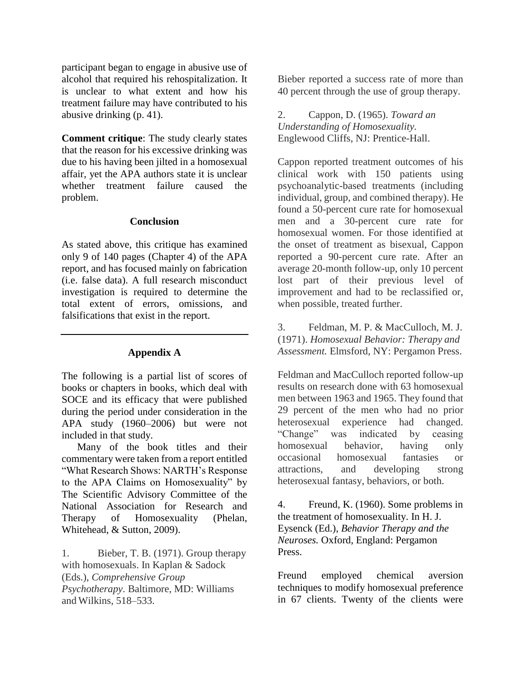participant began to engage in abusive use of alcohol that required his rehospitalization. It is unclear to what extent and how his treatment failure may have contributed to his abusive drinking (p. 41).

**Comment critique**: The study clearly states that the reason for his excessive drinking was due to his having been jilted in a homosexual affair, yet the APA authors state it is unclear whether treatment failure caused the problem.

#### **Conclusion**

As stated above, this critique has examined only 9 of 140 pages (Chapter 4) of the APA report, and has focused mainly on fabrication (i.e. false data). A full research misconduct investigation is required to determine the total extent of errors, omissions, and falsifications that exist in the report.

#### **Appendix A**

The following is a partial list of scores of books or chapters in books, which deal with SOCE and its efficacy that were published during the period under consideration in the APA study (1960–2006) but were not included in that study.

Many of the book titles and their commentary were taken from a report entitled "What Research Shows: NARTH's Response to the APA Claims on Homosexuality" by The Scientific Advisory Committee of the National Association for Research and Therapy of Homosexuality (Phelan, Whitehead, & Sutton, 2009).

1. Bieber, T. B. (1971). Group therapy with homosexuals. In Kaplan & Sadock (Eds.), *Comprehensive Group Psychotherapy*. Baltimore, MD: Williams and Wilkins, 518–533.

Bieber reported a success rate of more than 40 percent through the use of group therapy.

2. Cappon, D. (1965). *Toward an Understanding of Homosexuality.* Englewood Cliffs, NJ: Prentice-Hall.

Cappon reported treatment outcomes of his clinical work with 150 patients using psychoanalytic-based treatments (including individual, group, and combined therapy). He found a 50-percent cure rate for homosexual men and a 30-percent cure rate for homosexual women. For those identified at the onset of treatment as bisexual, Cappon reported a 90-percent cure rate. After an average 20-month follow-up, only 10 percent lost part of their previous level of improvement and had to be reclassified or, when possible, treated further.

3. Feldman, M. P. & MacCulloch, M. J. (1971). *Homosexual Behavior: Therapy and Assessment.* Elmsford, NY: Pergamon Press.

Feldman and MacCulloch reported follow-up results on research done with 63 homosexual men between 1963 and 1965. They found that 29 percent of the men who had no prior heterosexual experience had changed. "Change" was indicated by ceasing homosexual behavior, having only occasional homosexual fantasies or attractions, and developing strong heterosexual fantasy, behaviors, or both.

4. Freund, K. (1960). Some problems in the treatment of homosexuality. In H. J. Eysenck (Ed.), *Behavior Therapy and the Neuroses.* Oxford, England: Pergamon Press.

Freund employed chemical aversion techniques to modify homosexual preference in 67 clients. Twenty of the clients were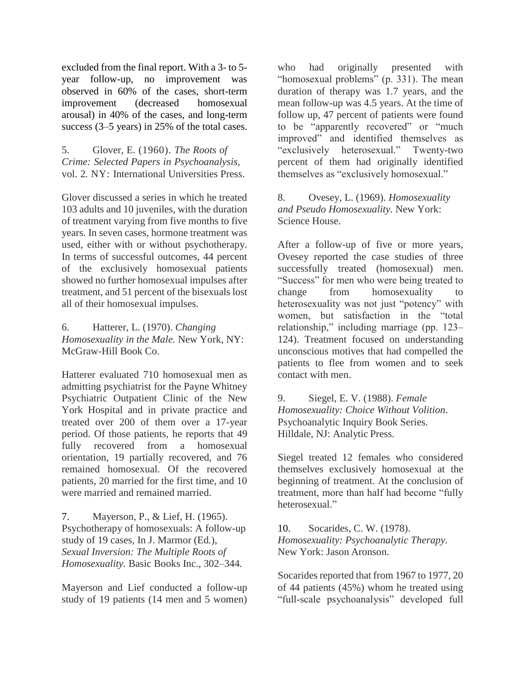excluded from the final report. With a 3- to 5 year follow-up, no improvement was observed in 60% of the cases, short-term improvement (decreased homosexual arousal) in 40% of the cases, and long-term success (3–5 years) in 25% of the total cases.

5. Glover, E. (1960). *The Roots of Crime: Selected Papers in Psychoanalysis,* vol. 2*.* NY: International Universities Press.

Glover discussed a series in which he treated 103 adults and 10 juveniles, with the duration of treatment varying from five months to five years. In seven cases, hormone treatment was used, either with or without psychotherapy. In terms of successful outcomes, 44 percent of the exclusively homosexual patients showed no further homosexual impulses after treatment, and 51 percent of the bisexuals lost all of their homosexual impulses.

6. Hatterer, L. (1970). *Changing Homosexuality in the Male.* New York, NY: McGraw-Hill Book Co.

Hatterer evaluated 710 homosexual men as admitting psychiatrist for the Payne Whitney Psychiatric Outpatient Clinic of the New York Hospital and in private practice and treated over 200 of them over a 17-year period. Of those patients, he reports that 49 fully recovered from a homosexual orientation, 19 partially recovered, and 76 remained homosexual. Of the recovered patients, 20 married for the first time, and 10 were married and remained married.

7. Mayerson, P., & Lief, H. (1965). Psychotherapy of homosexuals: A follow-up study of 19 cases, In J. Marmor (Ed*.*), *Sexual Inversion: The Multiple Roots of Homosexuality.* Basic Books Inc., 302–344*.*

Mayerson and Lief conducted a follow-up study of 19 patients (14 men and 5 women) who had originally presented with "homosexual problems" (p. 331). The mean duration of therapy was 1.7 years, and the mean follow-up was 4.5 years. At the time of follow up, 47 percent of patients were found to be "apparently recovered" or "much improved" and identified themselves as "exclusively heterosexual." Twenty-two percent of them had originally identified themselves as "exclusively homosexual."

8. Ovesey, L. (1969). *Homosexuality and Pseudo Homosexuality.* New York: Science House.

After a follow-up of five or more years, Ovesey reported the case studies of three successfully treated (homosexual) men. "Success" for men who were being treated to change from homosexuality to heterosexuality was not just "potency" with women, but satisfaction in the "total relationship," including marriage (pp. 123– 124). Treatment focused on understanding unconscious motives that had compelled the patients to flee from women and to seek contact with men.

9. Siegel, E. V. (1988). *Female Homosexuality: Choice Without Volition*. Psychoanalytic Inquiry Book Series*.*  Hilldale, NJ: Analytic Press.

Siegel treated 12 females who considered themselves exclusively homosexual at the beginning of treatment. At the conclusion of treatment, more than half had become "fully heterosexual."

10. Socarides, C. W. (1978). *Homosexuality: Psychoanalytic Therapy.* New York: Jason Aronson.

Socarides reported that from 1967 to 1977, 20 of 44 patients (45%) whom he treated using "full-scale psychoanalysis" developed full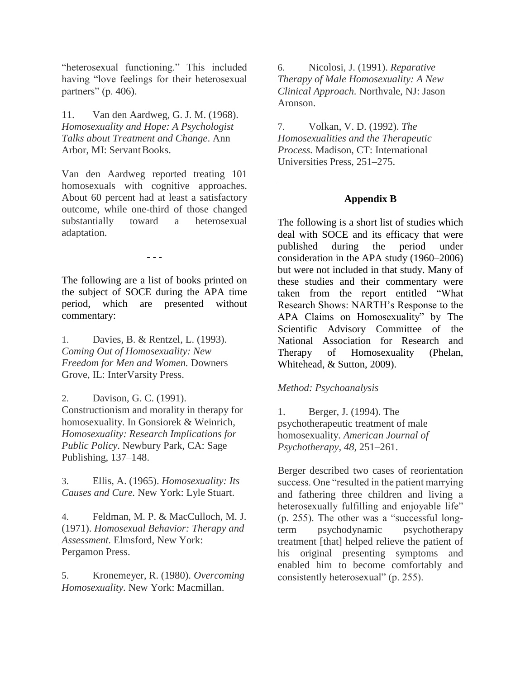"heterosexual functioning." This included having "love feelings for their heterosexual partners" (p. 406).

11. Van den Aardweg, G. J. M. (1968). *Homosexuality and Hope: A Psychologist Talks about Treatment and Change*. Ann Arbor, MI: Servant Books.

Van den Aardweg reported treating 101 homosexuals with cognitive approaches. About 60 percent had at least a satisfactory outcome, while one-third of those changed substantially toward a heterosexual adaptation.

- - -

The following are a list of books printed on the subject of SOCE during the APA time period, which are presented without commentary:

1. Davies, B. & Rentzel, L. (1993). *Coming Out of Homosexuality: New Freedom for Men and Women.* Downers Grove, IL: InterVarsity Press.

2. Davison, G. C. (1991). Constructionism and morality in therapy for homosexuality. In Gonsiorek & Weinrich, *Homosexuality: Research Implications for Public Policy*. Newbury Park, CA: Sage Publishing, 137–148.

3. Ellis, A. (1965). *Homosexuality: Its Causes and Cure.* New York: Lyle Stuart.

4. Feldman, M. P. & MacCulloch, M. J. (1971). *Homosexual Behavior: Therapy and Assessment.* Elmsford, New York: Pergamon Press.

5. Kronemeyer, R. (1980). *Overcoming Homosexuality.* New York: Macmillan.

6. Nicolosi, J. (1991). *Reparative Therapy of Male Homosexuality: A New Clinical Approach.* Northvale, NJ: Jason Aronson.

7. Volkan, V. D. (1992). *The Homosexualities and the Therapeutic Process.* Madison, CT: International Universities Press, 251–275.

## **Appendix B**

The following is a short list of studies which deal with SOCE and its efficacy that were published during the period under consideration in the APA study (1960–2006) but were not included in that study. Many of these studies and their commentary were taken from the report entitled "What Research Shows: NARTH's Response to the APA Claims on Homosexuality" by The Scientific Advisory Committee of the National Association for Research and Therapy of Homosexuality (Phelan, Whitehead, & Sutton, 2009).

#### *Method: Psychoanalysis*

1. Berger, J. (1994). The psychotherapeutic treatment of male homosexuality. *American Journal of Psychotherapy, 48,* 251–261.

Berger described two cases of reorientation success. One "resulted in the patient marrying and fathering three children and living a heterosexually fulfilling and enjoyable life" (p. 255). The other was a "successful longterm psychodynamic psychotherapy treatment [that] helped relieve the patient of his original presenting symptoms and enabled him to become comfortably and consistently heterosexual" (p. 255).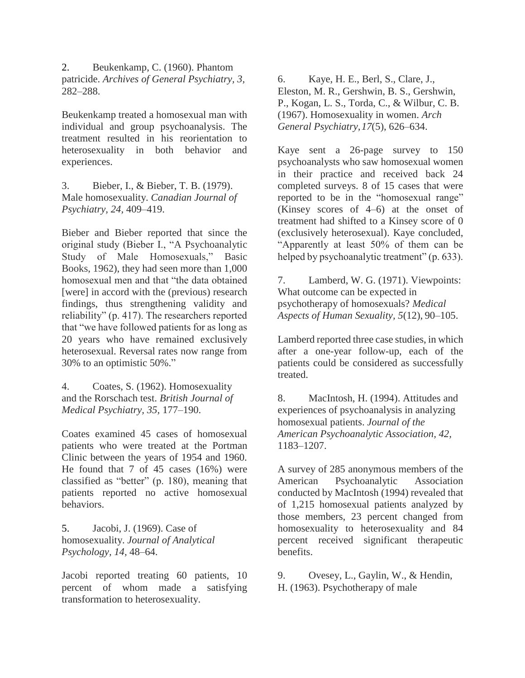2. Beukenkamp, C. (1960). Phantom patricide. *Archives of General Psychiatry, 3,* 282–288.

Beukenkamp treated a homosexual man with individual and group psychoanalysis. The treatment resulted in his reorientation to heterosexuality in both behavior and experiences.

3. Bieber, I., & Bieber, T. B. (1979). Male homosexuality. *Canadian Journal of Psychiatry, 24,* 409–419.

Bieber and Bieber reported that since the original study (Bieber I., "A Psychoanalytic Study of Male Homosexuals," Basic Books, 1962), they had seen more than 1,000 homosexual men and that "the data obtained [were] in accord with the (previous) research findings, thus strengthening validity and reliability" (p. 417). The researchers reported that "we have followed patients for as long as 20 years who have remained exclusively heterosexual. Reversal rates now range from 30% to an optimistic 50%."

4. Coates, S. (1962). Homosexuality and the Rorschach test. *British Journal of Medical Psychiatry, 35,* 177–190.

Coates examined 45 cases of homosexual patients who were treated at the Portman Clinic between the years of 1954 and 1960. He found that 7 of 45 cases (16%) were classified as "better" (p. 180), meaning that patients reported no active homosexual behaviors.

5. Jacobi, J. (1969). Case of homosexuality. *Journal of Analytical Psychology, 14,* 48–64.

Jacobi reported treating 60 patients, 10 percent of whom made a satisfying transformation to heterosexuality.

6. Kaye, H. E., Berl, S., Clare, J., Eleston, M. R., Gershwin, B. S., Gershwin, P., Kogan, L. S., Torda, C., & Wilbur, C. B. (1967). Homosexuality in women. *Arch General Psychiatry,17*(5), 626–634.

Kaye sent a 26-page survey to 150 psychoanalysts who saw homosexual women in their practice and received back 24 completed surveys. 8 of 15 cases that were reported to be in the "homosexual range" (Kinsey scores of 4–6) at the onset of treatment had shifted to a Kinsey score of 0 (exclusively heterosexual). Kaye concluded, "Apparently at least 50% of them can be helped by psychoanalytic treatment" (p. 633).

7. Lamberd, W. G. (1971). Viewpoints: What outcome can be expected in psychotherapy of homosexuals? *Medical Aspects of Human Sexuality, 5*(12), 90–105.

Lamberd reported three case studies, in which after a one-year follow-up, each of the patients could be considered as successfully treated.

8. MacIntosh, H. (1994). Attitudes and experiences of psychoanalysis in analyzing homosexual patients. *Journal of the American Psychoanalytic Association, 42,* 1183–1207.

A survey of 285 anonymous members of the American Psychoanalytic Association conducted by MacIntosh (1994) revealed that of 1,215 homosexual patients analyzed by those members, 23 percent changed from homosexuality to heterosexuality and 84 percent received significant therapeutic benefits.

9. Ovesey, L., Gaylin, W., & Hendin, H. (1963). Psychotherapy of male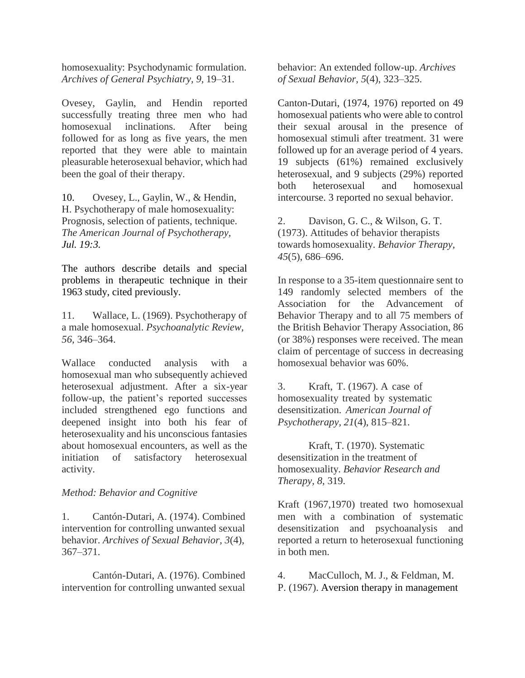homosexuality: Psychodynamic formulation. *Archives of General Psychiatry, 9,* 19–31.

Ovesey, Gaylin, and Hendin reported successfully treating three men who had homosexual inclinations. After being followed for as long as five years, the men reported that they were able to maintain pleasurable heterosexual behavior, which had been the goal of their therapy.

10. Ovesey, L., Gaylin, W., & Hendin, H. Psychotherapy of male homosexuality: Prognosis, selection of patients, technique. *The American Journal of Psychotherapy, Jul. 19:3.*

The authors describe details and special problems in therapeutic technique in their 1963 study, cited previously.

11. Wallace, L. (1969). Psychotherapy of a male homosexual. *Psychoanalytic Review, 56,* 346–364.

Wallace conducted analysis with a homosexual man who subsequently achieved heterosexual adjustment. After a six-year follow-up, the patient's reported successes included strengthened ego functions and deepened insight into both his fear of heterosexuality and his unconscious fantasies about homosexual encounters, as well as the initiation of satisfactory heterosexual activity.

## *Method: Behavior and Cognitive*

1. Cantón-Dutari, A. (1974). Combined intervention for controlling unwanted sexual behavior. *Archives of Sexual Behavior, 3*(4), 367–371.

Cantón-Dutari, A. (1976). Combined intervention for controlling unwanted sexual behavior: An extended follow-up. *Archives of Sexual Behavior, 5*(4), 323–325.

Canton-Dutari, (1974, 1976) reported on 49 homosexual patients who were able to control their sexual arousal in the presence of homosexual stimuli after treatment. 31 were followed up for an average period of 4 years. 19 subjects (61%) remained exclusively heterosexual, and 9 subjects (29%) reported both heterosexual and homosexual intercourse. 3 reported no sexual behavior.

2. Davison, G. C., & Wilson, G. T. (1973). Attitudes of behavior therapists towards homosexuality. *Behavior Therapy, 45*(5), 686–696.

In response to a 35-item questionnaire sent to 149 randomly selected members of the Association for the Advancement of Behavior Therapy and to all 75 members of the British Behavior Therapy Association, 86 (or 38%) responses were received. The mean claim of percentage of success in decreasing homosexual behavior was 60%.

3. Kraft, T. (1967). A case of homosexuality treated by systematic desensitization. *American Journal of Psychotherapy, 21*(4), 815–821.

Kraft, T. (1970). Systematic desensitization in the treatment of homosexuality. *Behavior Research and Therapy, 8,* 319.

Kraft (1967,1970) treated two homosexual men with a combination of systematic desensitization and psychoanalysis and reported a return to heterosexual functioning in both men.

4. MacCulloch, M. J., & Feldman, M. P. (1967). Aversion therapy in management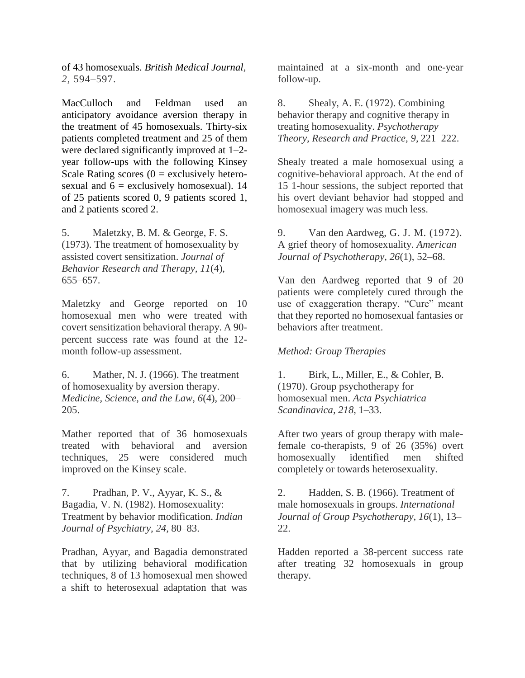of 43 homosexuals. *British Medical Journal, 2,* 594–597.

MacCulloch and Feldman used an anticipatory avoidance aversion therapy in the treatment of 45 homosexuals. Thirty-six patients completed treatment and 25 of them were declared significantly improved at 1–2 year follow-ups with the following Kinsey Scale Rating scores  $(0 =$  exclusively heterosexual and  $6 =$  exclusively homosexual). 14 of 25 patients scored 0, 9 patients scored 1, and 2 patients scored 2.

5. Maletzky, B. M. & George, F. S. (1973). The treatment of homosexuality by assisted covert sensitization. *Journal of Behavior Research and Therapy, 11*(4), 655–657.

Maletzky and George reported on 10 homosexual men who were treated with covert sensitization behavioral therapy. A 90 percent success rate was found at the 12 month follow-up assessment.

6. Mather, N. J. (1966). The treatment of homosexuality by aversion therapy. *Medicine, Science, and the Law, 6*(4), 200– 205.

Mather reported that of 36 homosexuals treated with behavioral and aversion techniques, 25 were considered much improved on the Kinsey scale.

7. Pradhan, P. V., Ayyar, K. S., & Bagadia, V. N. (1982). Homosexuality: Treatment by behavior modification. *Indian Journal of Psychiatry, 24,* 80–83.

Pradhan, Ayyar, and Bagadia demonstrated that by utilizing behavioral modification techniques, 8 of 13 homosexual men showed a shift to heterosexual adaptation that was

maintained at a six-month and one-year follow-up.

8. Shealy, A. E. (1972). Combining behavior therapy and cognitive therapy in treating homosexuality. *Psychotherapy Theory, Research and Practice, 9,* 221–222.

Shealy treated a male homosexual using a cognitive-behavioral approach. At the end of 15 1-hour sessions, the subject reported that his overt deviant behavior had stopped and homosexual imagery was much less.

9. Van den Aardweg, G. J. M. (1972). A grief theory of homosexuality. *American Journal of Psychotherapy, 26*(1), 52–68.

Van den Aardweg reported that 9 of 20 patients were completely cured through the use of exaggeration therapy. "Cure" meant that they reported no homosexual fantasies or behaviors after treatment.

#### *Method: Group Therapies*

1. Birk, L., Miller, E., & Cohler, B. (1970). Group psychotherapy for homosexual men. *Acta Psychiatrica Scandinavica, 218,* 1–33.

After two years of group therapy with malefemale co-therapists, 9 of 26 (35%) overt homosexually identified men shifted completely or towards heterosexuality.

2. Hadden, S. B. (1966). Treatment of male homosexuals in groups. *International Journal of Group Psychotherapy, 16*(1), 13– 22.

Hadden reported a 38-percent success rate after treating 32 homosexuals in group therapy.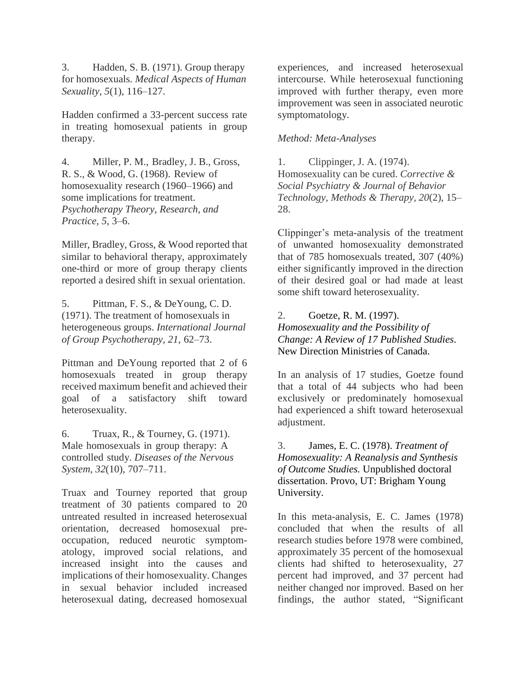3. Hadden, S. B. (1971). Group therapy for homosexuals. *Medical Aspects of Human Sexuality, 5*(1), 116–127.

Hadden confirmed a 33-percent success rate in treating homosexual patients in group therapy.

4. Miller, P. M., Bradley, J. B., Gross, R. S., & Wood, G. (1968). Review of homosexuality research (1960–1966) and some implications for treatment. *Psychotherapy Theory, Research, and Practice, 5,* 3–6.

Miller, Bradley, Gross, & Wood reported that similar to behavioral therapy, approximately one-third or more of group therapy clients reported a desired shift in sexual orientation.

5. Pittman, F. S., & DeYoung, C. D. (1971). The treatment of homosexuals in heterogeneous groups. *International Journal of Group Psychotherapy, 21,* 62–73.

Pittman and DeYoung reported that 2 of 6 homosexuals treated in group therapy received maximum benefit and achieved their goal of a satisfactory shift toward heterosexuality.

6. Truax, R., & Tourney, G. (1971). Male homosexuals in group therapy: A controlled study. *Diseases of the Nervous System, 32*(10), 707–711.

Truax and Tourney reported that group treatment of 30 patients compared to 20 untreated resulted in increased heterosexual orientation, decreased homosexual preoccupation, reduced neurotic symptomatology, improved social relations, and increased insight into the causes and implications of their homosexuality. Changes in sexual behavior included increased heterosexual dating, decreased homosexual

experiences, and increased heterosexual intercourse. While heterosexual functioning improved with further therapy, even more improvement was seen in associated neurotic symptomatology.

## *Method: Meta-Analyses*

1. Clippinger, J. A. (1974). Homosexuality can be cured. *Corrective & Social Psychiatry & Journal of Behavior Technology, Methods & Therapy, 20*(2), 15– 28.

Clippinger's meta-analysis of the treatment of unwanted homosexuality demonstrated that of 785 homosexuals treated, 307 (40%) either significantly improved in the direction of their desired goal or had made at least some shift toward heterosexuality.

## 2. Goetze, R. M. (1997). *Homosexuality and the Possibility of Change: A Review of 17 Published Studies*. New Direction Ministries of Canada.

In an analysis of 17 studies, Goetze found that a total of 44 subjects who had been exclusively or predominately homosexual had experienced a shift toward heterosexual adjustment.

3. James, E. C. (1978). *Treatment of Homosexuality: A Reanalysis and Synthesis of Outcome Studies.* Unpublished doctoral dissertation. Provo, UT: Brigham Young University.

In this meta-analysis, E. C. James (1978) concluded that when the results of all research studies before 1978 were combined, approximately 35 percent of the homosexual clients had shifted to heterosexuality, 27 percent had improved, and 37 percent had neither changed nor improved. Based on her findings, the author stated, "Significant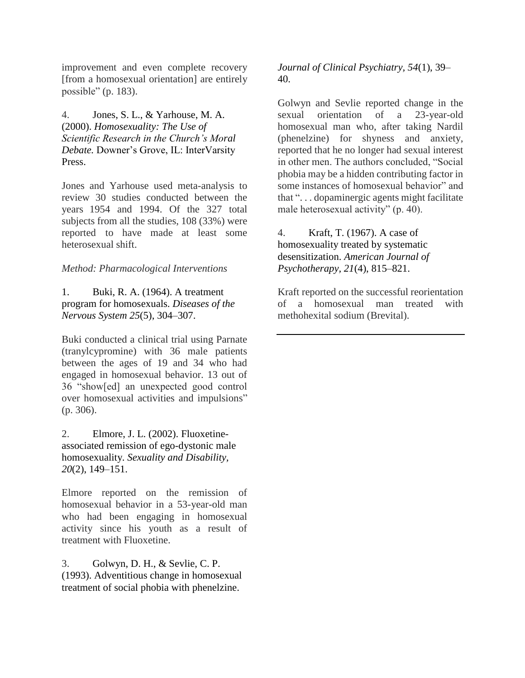improvement and even complete recovery [from a homosexual orientation] are entirely possible" (p. 183).

4. Jones, S. L., & Yarhouse, M. A. (2000). *Homosexuality: The Use of Scientific Research in the Church's Moral Debate.* Downer's Grove, IL: InterVarsity Press.

Jones and Yarhouse used meta-analysis to review 30 studies conducted between the years 1954 and 1994. Of the 327 total subjects from all the studies, 108 (33%) were reported to have made at least some heterosexual shift.

## *Method: Pharmacological Interventions*

1. Buki, R. A. (1964). A treatment program for homosexuals. *Diseases of the Nervous System 25*(5), 304–307.

Buki conducted a clinical trial using Parnate (tranylcypromine) with 36 male patients between the ages of 19 and 34 who had engaged in homosexual behavior. 13 out of 36 "show[ed] an unexpected good control over homosexual activities and impulsions" (p. 306).

2. Elmore, J. L. (2002). Fluoxetineassociated remission of ego-dystonic male homosexuality. *Sexuality and Disability, 20*(2), 149–151.

Elmore reported on the remission of homosexual behavior in a 53-year-old man who had been engaging in homosexual activity since his youth as a result of treatment with Fluoxetine.

3. Golwyn, D. H., & Sevlie, C. P. (1993). Adventitious change in homosexual treatment of social phobia with phenelzine.

*Journal of Clinical Psychiatry, 54*(1), 39– 40.

Golwyn and Sevlie reported change in the sexual orientation of a 23-year-old homosexual man who, after taking Nardil (phenelzine) for shyness and anxiety, reported that he no longer had sexual interest in other men. The authors concluded, "Social phobia may be a hidden contributing factor in some instances of homosexual behavior" and that ". . . dopaminergic agents might facilitate male heterosexual activity" (p. 40).

4. Kraft, T. (1967). A case of homosexuality treated by systematic desensitization. *American Journal of Psychotherapy, 21*(4), 815–821.

Kraft reported on the successful reorientation of a homosexual man treated with methohexital sodium (Brevital).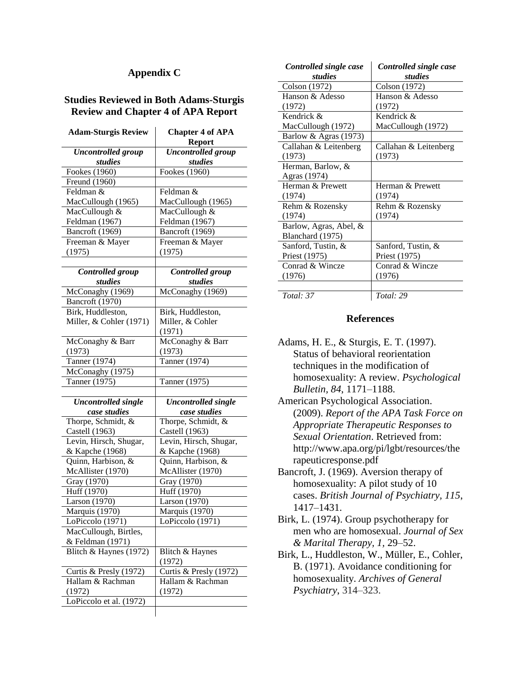#### **Appendix C**

#### **Studies Reviewed in Both Adams-Sturgis Review and Chapter 4 of APA Report**

| <b>Uncontrolled</b> group<br><b>Uncontrolled</b> group<br>studies<br>studies<br>Fookes (1960)<br>Fookes (1960)<br>Freund (1960)<br>Feldman &<br>Feldman &<br>MacCullough (1965)<br>MacCullough (1965)<br>MacCullough &<br>MacCullough &<br>Feldman (1967)<br>Feldman (1967)<br>Bancroft (1969)<br>Bancroft (1969)<br>Freeman & Mayer<br>Freeman & Mayer<br>(1975)<br>(1975)<br><b>Controlled</b> group<br><b>Controlled</b> group<br>studies<br>studies<br>McConaghy (1969)<br>McConaghy (1969)<br>Bancroft (1970)<br>Birk, Huddleston,<br>Birk, Huddleston,<br>Miller, & Cohler (1971)<br>Miller, & Cohler<br>(1971)<br>McConaghy & Barr<br>McConaghy & Barr<br>(1973)<br>(1973)<br>Tanner (1974)<br>Tanner (1974)<br>McConaghy (1975)<br>Tanner (1975)<br>Tanner (1975)<br><b>Uncontrolled single</b><br><b>Uncontrolled single</b><br>case studies<br>case studies<br>Thorpe, Schmidt, &<br>Thorpe, Schmidt, &<br>Castell (1963)<br>Castell (1963)<br>Levin, Hirsch, Shugar,<br>Levin, Hirsch, Shugar,<br>& Kapche (1968)<br>& Kapche (1968)<br>Quinn, Harbison, &<br>Quinn, Harbison, &<br>McAllister (1970)<br>McAllister (1970)<br>Gray (1970)<br>Gray (1970)<br>Huff (1970)<br>Huff (1970)<br>Larson (1970)<br>Larson (1970)<br>Marquis (1970)<br>Marquis (1970)<br>LoPiccolo (1971)<br>LoPiccolo (1971) | <b>Adam-Sturgis Review</b> | <b>Chapter 4 of APA</b> |
|-----------------------------------------------------------------------------------------------------------------------------------------------------------------------------------------------------------------------------------------------------------------------------------------------------------------------------------------------------------------------------------------------------------------------------------------------------------------------------------------------------------------------------------------------------------------------------------------------------------------------------------------------------------------------------------------------------------------------------------------------------------------------------------------------------------------------------------------------------------------------------------------------------------------------------------------------------------------------------------------------------------------------------------------------------------------------------------------------------------------------------------------------------------------------------------------------------------------------------------------------------------------------------------------------------------------|----------------------------|-------------------------|
|                                                                                                                                                                                                                                                                                                                                                                                                                                                                                                                                                                                                                                                                                                                                                                                                                                                                                                                                                                                                                                                                                                                                                                                                                                                                                                                 |                            | <b>Report</b>           |
|                                                                                                                                                                                                                                                                                                                                                                                                                                                                                                                                                                                                                                                                                                                                                                                                                                                                                                                                                                                                                                                                                                                                                                                                                                                                                                                 |                            |                         |
|                                                                                                                                                                                                                                                                                                                                                                                                                                                                                                                                                                                                                                                                                                                                                                                                                                                                                                                                                                                                                                                                                                                                                                                                                                                                                                                 |                            |                         |
|                                                                                                                                                                                                                                                                                                                                                                                                                                                                                                                                                                                                                                                                                                                                                                                                                                                                                                                                                                                                                                                                                                                                                                                                                                                                                                                 |                            |                         |
|                                                                                                                                                                                                                                                                                                                                                                                                                                                                                                                                                                                                                                                                                                                                                                                                                                                                                                                                                                                                                                                                                                                                                                                                                                                                                                                 |                            |                         |
|                                                                                                                                                                                                                                                                                                                                                                                                                                                                                                                                                                                                                                                                                                                                                                                                                                                                                                                                                                                                                                                                                                                                                                                                                                                                                                                 |                            |                         |
|                                                                                                                                                                                                                                                                                                                                                                                                                                                                                                                                                                                                                                                                                                                                                                                                                                                                                                                                                                                                                                                                                                                                                                                                                                                                                                                 |                            |                         |
|                                                                                                                                                                                                                                                                                                                                                                                                                                                                                                                                                                                                                                                                                                                                                                                                                                                                                                                                                                                                                                                                                                                                                                                                                                                                                                                 |                            |                         |
|                                                                                                                                                                                                                                                                                                                                                                                                                                                                                                                                                                                                                                                                                                                                                                                                                                                                                                                                                                                                                                                                                                                                                                                                                                                                                                                 |                            |                         |
|                                                                                                                                                                                                                                                                                                                                                                                                                                                                                                                                                                                                                                                                                                                                                                                                                                                                                                                                                                                                                                                                                                                                                                                                                                                                                                                 |                            |                         |
|                                                                                                                                                                                                                                                                                                                                                                                                                                                                                                                                                                                                                                                                                                                                                                                                                                                                                                                                                                                                                                                                                                                                                                                                                                                                                                                 |                            |                         |
|                                                                                                                                                                                                                                                                                                                                                                                                                                                                                                                                                                                                                                                                                                                                                                                                                                                                                                                                                                                                                                                                                                                                                                                                                                                                                                                 |                            |                         |
|                                                                                                                                                                                                                                                                                                                                                                                                                                                                                                                                                                                                                                                                                                                                                                                                                                                                                                                                                                                                                                                                                                                                                                                                                                                                                                                 |                            |                         |
|                                                                                                                                                                                                                                                                                                                                                                                                                                                                                                                                                                                                                                                                                                                                                                                                                                                                                                                                                                                                                                                                                                                                                                                                                                                                                                                 |                            |                         |
|                                                                                                                                                                                                                                                                                                                                                                                                                                                                                                                                                                                                                                                                                                                                                                                                                                                                                                                                                                                                                                                                                                                                                                                                                                                                                                                 |                            |                         |
|                                                                                                                                                                                                                                                                                                                                                                                                                                                                                                                                                                                                                                                                                                                                                                                                                                                                                                                                                                                                                                                                                                                                                                                                                                                                                                                 |                            |                         |
|                                                                                                                                                                                                                                                                                                                                                                                                                                                                                                                                                                                                                                                                                                                                                                                                                                                                                                                                                                                                                                                                                                                                                                                                                                                                                                                 |                            |                         |
|                                                                                                                                                                                                                                                                                                                                                                                                                                                                                                                                                                                                                                                                                                                                                                                                                                                                                                                                                                                                                                                                                                                                                                                                                                                                                                                 |                            |                         |
|                                                                                                                                                                                                                                                                                                                                                                                                                                                                                                                                                                                                                                                                                                                                                                                                                                                                                                                                                                                                                                                                                                                                                                                                                                                                                                                 |                            |                         |
|                                                                                                                                                                                                                                                                                                                                                                                                                                                                                                                                                                                                                                                                                                                                                                                                                                                                                                                                                                                                                                                                                                                                                                                                                                                                                                                 |                            |                         |
|                                                                                                                                                                                                                                                                                                                                                                                                                                                                                                                                                                                                                                                                                                                                                                                                                                                                                                                                                                                                                                                                                                                                                                                                                                                                                                                 |                            |                         |
|                                                                                                                                                                                                                                                                                                                                                                                                                                                                                                                                                                                                                                                                                                                                                                                                                                                                                                                                                                                                                                                                                                                                                                                                                                                                                                                 |                            |                         |
|                                                                                                                                                                                                                                                                                                                                                                                                                                                                                                                                                                                                                                                                                                                                                                                                                                                                                                                                                                                                                                                                                                                                                                                                                                                                                                                 |                            |                         |
|                                                                                                                                                                                                                                                                                                                                                                                                                                                                                                                                                                                                                                                                                                                                                                                                                                                                                                                                                                                                                                                                                                                                                                                                                                                                                                                 |                            |                         |
|                                                                                                                                                                                                                                                                                                                                                                                                                                                                                                                                                                                                                                                                                                                                                                                                                                                                                                                                                                                                                                                                                                                                                                                                                                                                                                                 |                            |                         |
|                                                                                                                                                                                                                                                                                                                                                                                                                                                                                                                                                                                                                                                                                                                                                                                                                                                                                                                                                                                                                                                                                                                                                                                                                                                                                                                 |                            |                         |
|                                                                                                                                                                                                                                                                                                                                                                                                                                                                                                                                                                                                                                                                                                                                                                                                                                                                                                                                                                                                                                                                                                                                                                                                                                                                                                                 |                            |                         |
|                                                                                                                                                                                                                                                                                                                                                                                                                                                                                                                                                                                                                                                                                                                                                                                                                                                                                                                                                                                                                                                                                                                                                                                                                                                                                                                 |                            |                         |
|                                                                                                                                                                                                                                                                                                                                                                                                                                                                                                                                                                                                                                                                                                                                                                                                                                                                                                                                                                                                                                                                                                                                                                                                                                                                                                                 |                            |                         |
|                                                                                                                                                                                                                                                                                                                                                                                                                                                                                                                                                                                                                                                                                                                                                                                                                                                                                                                                                                                                                                                                                                                                                                                                                                                                                                                 |                            |                         |
|                                                                                                                                                                                                                                                                                                                                                                                                                                                                                                                                                                                                                                                                                                                                                                                                                                                                                                                                                                                                                                                                                                                                                                                                                                                                                                                 |                            |                         |
|                                                                                                                                                                                                                                                                                                                                                                                                                                                                                                                                                                                                                                                                                                                                                                                                                                                                                                                                                                                                                                                                                                                                                                                                                                                                                                                 |                            |                         |
|                                                                                                                                                                                                                                                                                                                                                                                                                                                                                                                                                                                                                                                                                                                                                                                                                                                                                                                                                                                                                                                                                                                                                                                                                                                                                                                 |                            |                         |
|                                                                                                                                                                                                                                                                                                                                                                                                                                                                                                                                                                                                                                                                                                                                                                                                                                                                                                                                                                                                                                                                                                                                                                                                                                                                                                                 |                            |                         |
|                                                                                                                                                                                                                                                                                                                                                                                                                                                                                                                                                                                                                                                                                                                                                                                                                                                                                                                                                                                                                                                                                                                                                                                                                                                                                                                 |                            |                         |
|                                                                                                                                                                                                                                                                                                                                                                                                                                                                                                                                                                                                                                                                                                                                                                                                                                                                                                                                                                                                                                                                                                                                                                                                                                                                                                                 |                            |                         |
|                                                                                                                                                                                                                                                                                                                                                                                                                                                                                                                                                                                                                                                                                                                                                                                                                                                                                                                                                                                                                                                                                                                                                                                                                                                                                                                 |                            |                         |
|                                                                                                                                                                                                                                                                                                                                                                                                                                                                                                                                                                                                                                                                                                                                                                                                                                                                                                                                                                                                                                                                                                                                                                                                                                                                                                                 |                            |                         |
|                                                                                                                                                                                                                                                                                                                                                                                                                                                                                                                                                                                                                                                                                                                                                                                                                                                                                                                                                                                                                                                                                                                                                                                                                                                                                                                 | MacCullough, Birtles,      |                         |
| & Feldman (1971)                                                                                                                                                                                                                                                                                                                                                                                                                                                                                                                                                                                                                                                                                                                                                                                                                                                                                                                                                                                                                                                                                                                                                                                                                                                                                                |                            |                         |
| Blitch & Haynes (1972)<br>Blitch & Haynes                                                                                                                                                                                                                                                                                                                                                                                                                                                                                                                                                                                                                                                                                                                                                                                                                                                                                                                                                                                                                                                                                                                                                                                                                                                                       |                            |                         |
| (1972)                                                                                                                                                                                                                                                                                                                                                                                                                                                                                                                                                                                                                                                                                                                                                                                                                                                                                                                                                                                                                                                                                                                                                                                                                                                                                                          |                            |                         |
| Curtis & Presly (1972)<br>Curtis & Presly (1972)                                                                                                                                                                                                                                                                                                                                                                                                                                                                                                                                                                                                                                                                                                                                                                                                                                                                                                                                                                                                                                                                                                                                                                                                                                                                |                            |                         |
| Hallam & Rachman<br>Hallam & Rachman                                                                                                                                                                                                                                                                                                                                                                                                                                                                                                                                                                                                                                                                                                                                                                                                                                                                                                                                                                                                                                                                                                                                                                                                                                                                            |                            |                         |
| (1972)<br>(1972)                                                                                                                                                                                                                                                                                                                                                                                                                                                                                                                                                                                                                                                                                                                                                                                                                                                                                                                                                                                                                                                                                                                                                                                                                                                                                                |                            |                         |
| LoPiccolo et al. (1972)                                                                                                                                                                                                                                                                                                                                                                                                                                                                                                                                                                                                                                                                                                                                                                                                                                                                                                                                                                                                                                                                                                                                                                                                                                                                                         |                            |                         |
|                                                                                                                                                                                                                                                                                                                                                                                                                                                                                                                                                                                                                                                                                                                                                                                                                                                                                                                                                                                                                                                                                                                                                                                                                                                                                                                 |                            |                         |

| Controlled single case | Controlled single case |
|------------------------|------------------------|
| studies                | studies                |
| Colson (1972)          | Colson (1972)          |
| Hanson $\&$ Adesso     | Hanson & Adesso        |
| (1972)                 | (1972)                 |
| Kendrick $\&$          | Kendrick &             |
| MacCullough (1972)     | MacCullough (1972)     |
| Barlow & Agras (1973)  |                        |
| Callahan & Leitenberg  | Callahan & Leitenberg  |
| (1973)                 | (1973)                 |
| Herman, Barlow, &      |                        |
| Agras (1974)           |                        |
| Herman & Prewett       | Herman & Prewett       |
| (1974)                 | (1974)                 |
| Rehm & Rozensky        | Rehm & Rozensky        |
| (1974)                 | (1974)                 |
| Barlow, Agras, Abel, & |                        |
| Blanchard (1975)       |                        |
| Sanford, Tustin, &     | Sanford, Tustin, &     |
| Priest (1975)          | Priest (1975)          |
| Conrad & Wincze        | Conrad & Wincze        |
| (1976)                 | (1976)                 |
|                        |                        |
| Total: 37              | Total: 29              |

#### **References**

- Adams, H. E., & Sturgis, E. T. (1997). Status of behavioral reorientation techniques in the modification of homosexuality: A review. *Psychological Bulletin, 84*, 1171–1188.
- American Psychological Association. (2009). *Report of the APA Task Force on Appropriate Therapeutic Responses to Sexual Orientation*. Retrieved from: http://www.apa.org/pi/lgbt/resources/the rapeuticresponse.pdf
- Bancroft, J. (1969). Aversion therapy of homosexuality: A pilot study of 10 cases. *British Journal of Psychiatry, 115*, 1417–1431.
- Birk, L. (1974). Group psychotherapy for men who are homosexual. *Journal of Sex & Marital Therapy, 1,* 29–52.
- Birk, L., Huddleston, W., Müller, E., Cohler, B. (1971). Avoidance conditioning for homosexuality. *Archives of General Psychiatry*, 314–323.